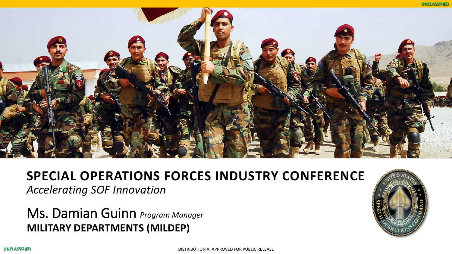

# **SPECIAL OPERATIONS FORCES INDUSTRY CONFERENCE**

*Accelerating SOF Innovation*

### Ms. Damian Guinn *Program Manager* **MILITARY DEPARTMENTS (MILDEP)**

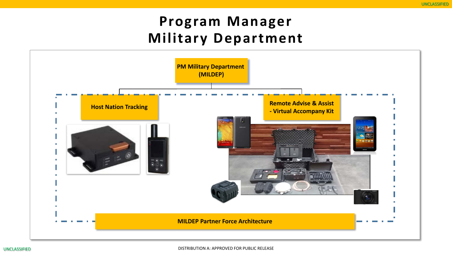## **Program Manager Military Department**

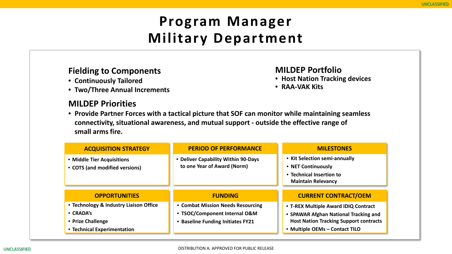# **Program Manager Military Department**

#### **Fielding to Components**

- **Continuously Tailored**
- **Two/Three Annual Increments**

#### **MILDEP Priorities**

#### **MILDEP Portfolio**

- **Host Nation Tracking devices**
- **RAA-VAK Kits**
- **Provide Partner Forces with a tactical picture that SOF can monitor while maintaining seamless connectivity, situational awareness, and mutual support - outside the effective range of small arms fire.**

| <b>ACQUISITION STRATEGY</b>                                                                             | <b>PERIOD OF PERFORMANCE</b>                                                                            | <b>MILESTONES</b>                                                                                                                                                |
|---------------------------------------------------------------------------------------------------------|---------------------------------------------------------------------------------------------------------|------------------------------------------------------------------------------------------------------------------------------------------------------------------|
| • Middle Tier Acquisitions<br>• COTS (and modified versions)                                            | • Deliver Capability Within 90-Days<br>to one Year of Award (Norm)                                      | • Kit Selection semi-annually<br>• NET Continuously<br>• Technical Insertion to<br><b>Maintain Relevancy</b>                                                     |
| <b>OPPORTUNITIES</b>                                                                                    | <b>FUNDING</b>                                                                                          | <b>CURRENT CONTRACT/OEM</b>                                                                                                                                      |
| • Technology & Industry Liaison Office<br>• CRADA's<br>• Prize Challenge<br>• Technical Experimentation | • Combat Mission Needs Resourcing<br>• TSOC/Component Internal O&M<br>• Baseline Funding Initiates FY21 | • T-REX Multiple Award IDIQ Contract<br>• SPAWAR Afghan National Tracking and<br><b>Host Nation Tracking Support contracts</b><br>• Multiple OEMs - Contact TILO |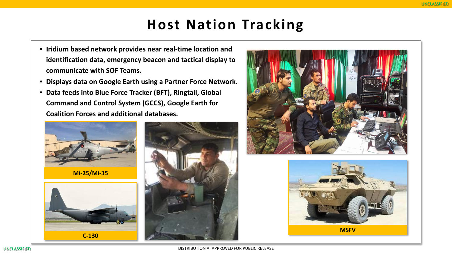### **Host Nation Tracking**

- **Iridium based network provides near real-time location and identification data, emergency beacon and tactical display to communicate with SOF Teams.**
- **Displays data on Google Earth using a Partner Force Network.**
- **Data feeds into Blue Force Tracker (BFT), Ringtail, Global Command and Control System (GCCS), Google Earth for Coalition Forces and additional databases.**



**Mi-25/Mi-35**









**MSFV**

DISTRIBUTION A: APPROVED FOR PUBLIC RELEASE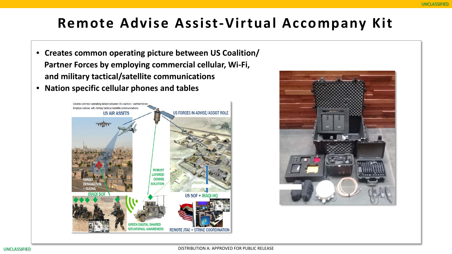## **Remote Advise Assist-Virtual Accompany Kit**

- **Creates common operating picture between US Coalition/ Partner Forces by employing commercial cellular, Wi-Fi, and military tactical/satellite communications**
- **Nation specific cellular phones and tables**



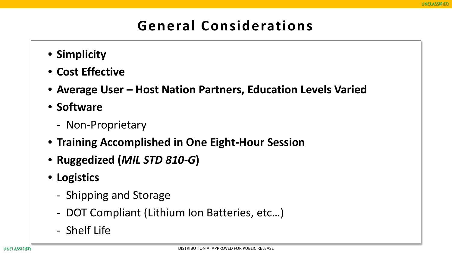# **General Considerations**

- **Simplicity**
- **Cost Effective**
- **Average User – Host Nation Partners, Education Levels Varied**
- **Software**
	- - Non-Proprietary
- **Training Accomplished in One Eight-Hour Session**
- **Ruggedized (***MIL STD 810-G***)**
- **Logistics**
	- Shipping and Storage
	- - DOT Compliant (Lithium Ion Batteries, etc…)
	- Shelf Life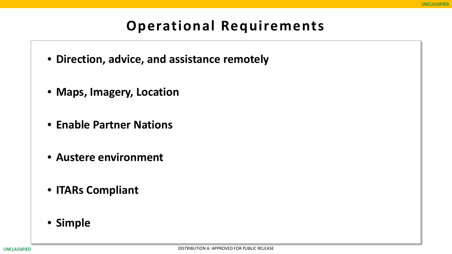### **Operational Requirements**

- **Direction, advice, and assistance remotely**
- **Maps, Imagery, Location**
- **Enable Partner Nations**
- **Austere environment**
- **ITARs Compliant**
- **Simple**